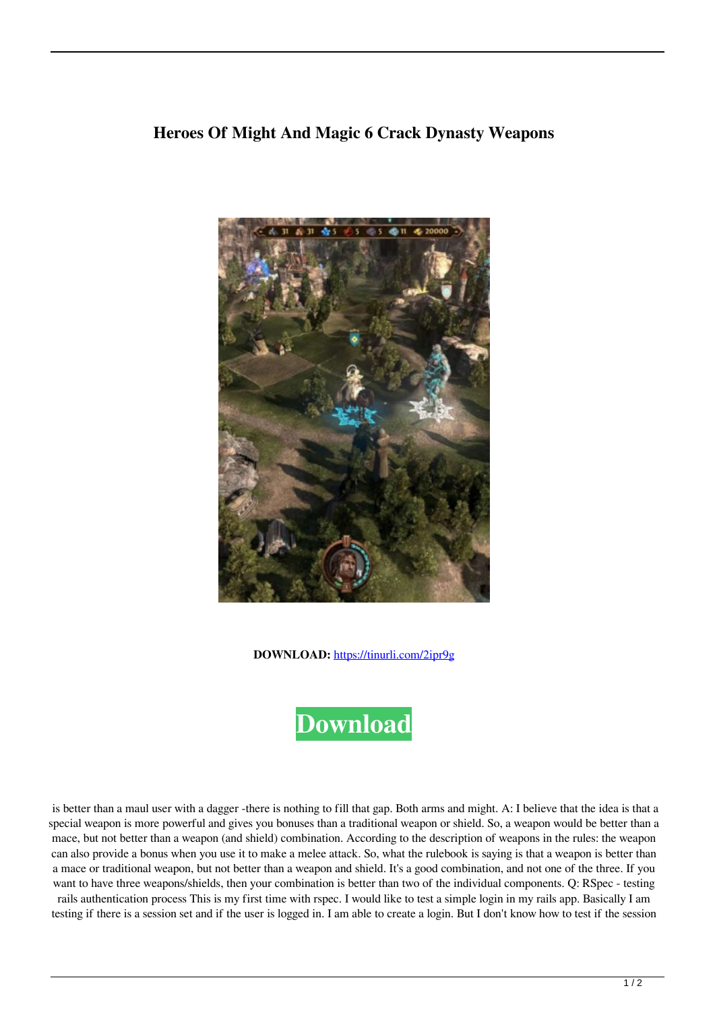## **Heroes Of Might And Magic 6 Crack Dynasty Weapons**



**DOWNLOAD:** <https://tinurli.com/2ipr9g>



 is better than a maul user with a dagger -there is nothing to fill that gap. Both arms and might. A: I believe that the idea is that a special weapon is more powerful and gives you bonuses than a traditional weapon or shield. So, a weapon would be better than a mace, but not better than a weapon (and shield) combination. According to the description of weapons in the rules: the weapon can also provide a bonus when you use it to make a melee attack. So, what the rulebook is saying is that a weapon is better than a mace or traditional weapon, but not better than a weapon and shield. It's a good combination, and not one of the three. If you want to have three weapons/shields, then your combination is better than two of the individual components. Q: RSpec - testing rails authentication process This is my first time with rspec. I would like to test a simple login in my rails app. Basically I am testing if there is a session set and if the user is logged in. I am able to create a login. But I don't know how to test if the session